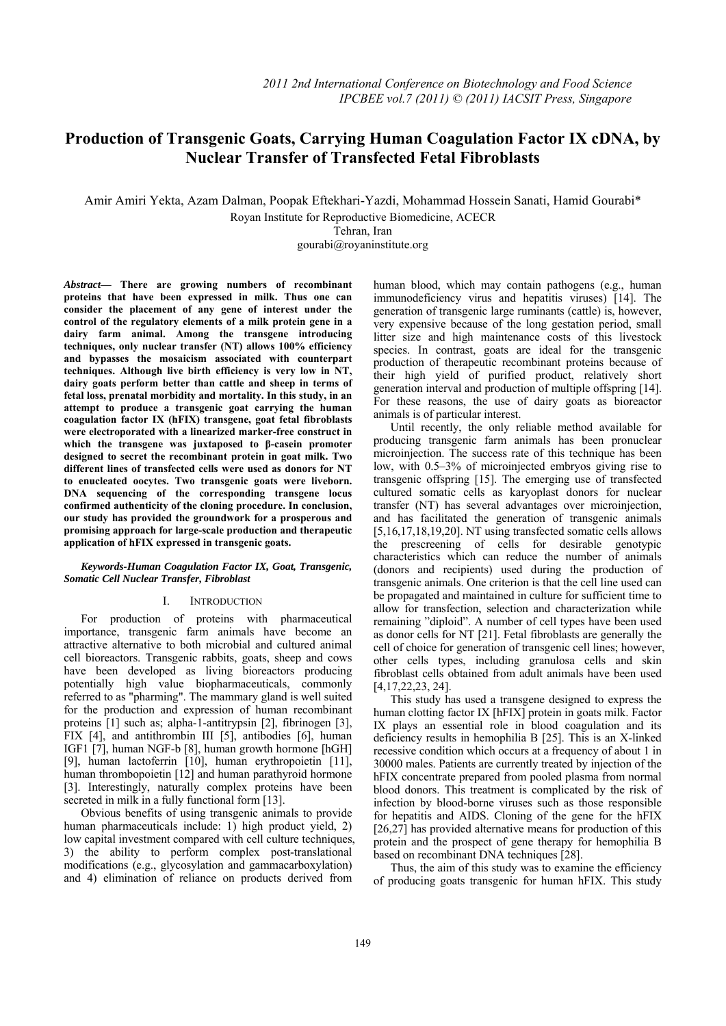# **Production of Transgenic Goats, Carrying Human Coagulation Factor IX cDNA, by**   **Nuclear Transfer of Transfected Fetal Fibroblasts**

Amir Amiri Yekta, Azam Dalman, Poopak Eftekhari-Yazdi, Mohammad Hossein Sanati, Hamid Gourabi\*

Royan Institute for Reproductive Biomedicine, ACECR

Tehran, Iran

gourabi@royaninstitute.org

*Abstract***— There are growing numbers of recombinant proteins that have been expressed in milk. Thus one can consider the placement of any gene of interest under the control of the regulatory elements of a milk protein gene in a dairy farm animal. Among the transgene introducing techniques, only nuclear transfer (NT) allows 100% efficiency and bypasses the mosaicism associated with counterpart techniques. Although live birth efficiency is very low in NT, dairy goats perform better than cattle and sheep in terms of fetal loss, prenatal morbidity and mortality. In this study, in an attempt to produce a transgenic goat carrying the human coagulation factor IX (hFIX) transgene, goat fetal fibroblasts were electroporated with a linearized marker-free construct in which the transgene was juxtaposed to β-casein promoter designed to secret the recombinant protein in goat milk. Two different lines of transfected cells were used as donors for NT to enucleated oocytes. Two transgenic goats were liveborn. DNA sequencing of the corresponding transgene locus confirmed authenticity of the cloning procedure. In conclusion, our study has provided the groundwork for a prosperous and promising approach for large-scale production and therapeutic application of hFIX expressed in transgenic goats.** 

# *Keywords-Human Coagulation Factor IX, Goat, Transgenic, Somatic Cell Nuclear Transfer, Fibroblast*

### I. INTRODUCTION

For production of proteins with pharmaceutical importance, transgenic farm animals have become an attractive alternative to both microbial and cultured animal cell bioreactors. Transgenic rabbits, goats, sheep and cows have been developed as living bioreactors producing potentially high value biopharmaceuticals, commonly referred to as "pharming". The mammary gland is well suited for the production and expression of human recombinant proteins [1] such as; alpha-1-antitrypsin [2], fibrinogen [3], FIX [4], and antithrombin III [5], antibodies [6], human IGF1 [7], human NGF-b [8], human growth hormone [hGH] [9], human lactoferrin [10], human erythropoietin [11], human thrombopoietin [12] and human parathyroid hormone [3]. Interestingly, naturally complex proteins have been secreted in milk in a fully functional form [13].

Obvious benefits of using transgenic animals to provide human pharmaceuticals include: 1) high product yield, 2) low capital investment compared with cell culture techniques, 3) the ability to perform complex post-translational modifications (e.g., glycosylation and gammacarboxylation) and 4) elimination of reliance on products derived from human blood, which may contain pathogens (e.g., human immunodeficiency virus and hepatitis viruses) [14]. The generation of transgenic large ruminants (cattle) is, however, very expensive because of the long gestation period, small litter size and high maintenance costs of this livestock species. In contrast, goats are ideal for the transgenic production of therapeutic recombinant proteins because of their high yield of purified product, relatively short generation interval and production of multiple offspring [14]. For these reasons, the use of dairy goats as bioreactor animals is of particular interest.

Until recently, the only reliable method available for producing transgenic farm animals has been pronuclear microinjection. The success rate of this technique has been low, with 0.5–3% of microinjected embryos giving rise to transgenic offspring [15]. The emerging use of transfected cultured somatic cells as karyoplast donors for nuclear transfer (NT) has several advantages over microinjection, and has facilitated the generation of transgenic animals [5,16,17,18,19,20]. NT using transfected somatic cells allows the prescreening of cells for desirable genotypic characteristics which can reduce the number of animals (donors and recipients) used during the production of transgenic animals. One criterion is that the cell line used can be propagated and maintained in culture for sufficient time to allow for transfection, selection and characterization while remaining "diploid". A number of cell types have been used as donor cells for NT [21]. Fetal fibroblasts are generally the cell of choice for generation of transgenic cell lines; however, other cells types, including granulosa cells and skin fibroblast cells obtained from adult animals have been used [4,17,22,23, 24].

This study has used a transgene designed to express the human clotting factor IX [hFIX] protein in goats milk. Factor IX plays an essential role in blood coagulation and its deficiency results in hemophilia B [25]. This is an X-linked recessive condition which occurs at a frequency of about 1 in 30000 males. Patients are currently treated by injection of the hFIX concentrate prepared from pooled plasma from normal blood donors. This treatment is complicated by the risk of infection by blood-borne viruses such as those responsible for hepatitis and AIDS. Cloning of the gene for the hFIX  $[26,27]$  has provided alternative means for production of this protein and the prospect of gene therapy for hemophilia B based on recombinant DNA techniques [28].

Thus, the aim of this study was to examine the efficiency of producing goats transgenic for human hFIX. This study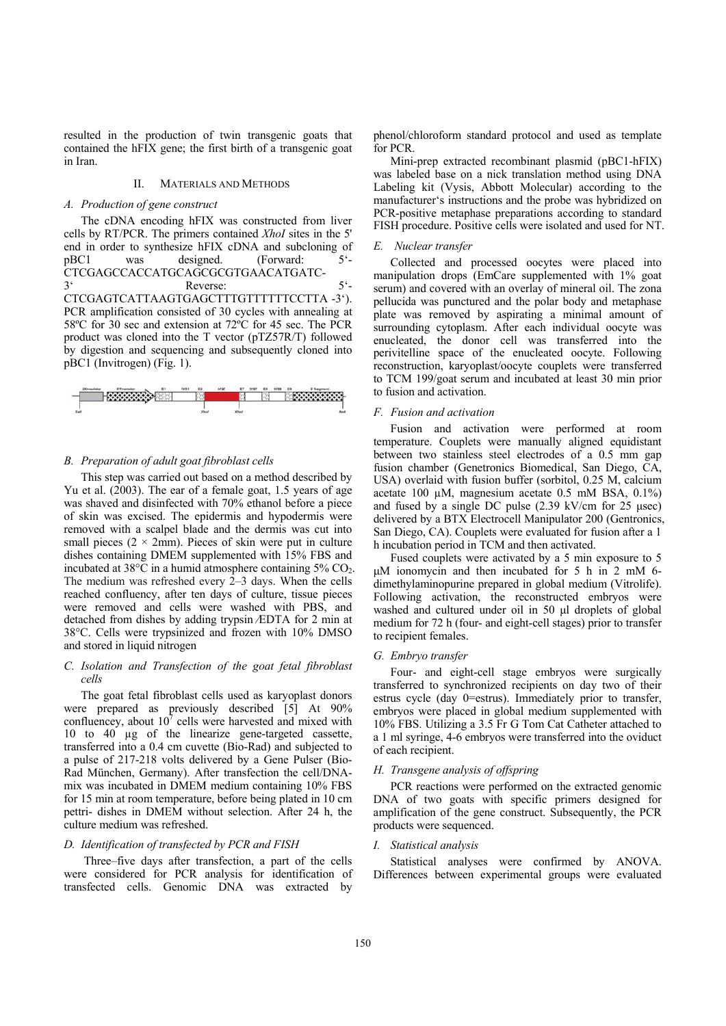resulted in the production of twin transgenic goats that contained the hFIX gene; the first birth of a transgenic goat in Iran.

# II. MATERIALS AND METHODS

# *A. Production of gene construct*

The cDNA encoding hFIX was constructed from liver cells by RT/PCR. The primers contained *XhoI* sites in the 5' end in order to synthesize hFIX cDNA and subcloning of pBC1 was designed. (Forward: 5'- CTCGAGCCACCATGCAGCGCGTGAACATGATC-3' Reverse: 5'- CTCGAGTCATTAAGTGAGCTTTGTTTTTTCCTTA -3'). PCR amplification consisted of 30 cycles with annealing at 58ºC for 30 sec and extension at 72ºC for 45 sec. The PCR product was cloned into the T vector (pTZ57R/T) followed by digestion and sequencing and subsequently cloned into pBC1 (Invitrogen) (Fig. 1).



### *B. Preparation of adult goat fibroblast cells*

This step was carried out based on a method described by Yu et al. (2003). The ear of a female goat, 1.5 years of age was shaved and disinfected with 70% ethanol before a piece of skin was excised. The epidermis and hypodermis were removed with a scalpel blade and the dermis was cut into small pieces  $(2 \times 2 \text{mm})$ . Pieces of skin were put in culture dishes containing DMEM supplemented with 15% FBS and incubated at  $38^{\circ}$ C in a humid atmosphere containing  $5\%$  CO<sub>2</sub>. The medium was refreshed every 2–3 days. When the cells reached confluency, after ten days of culture, tissue pieces were removed and cells were washed with PBS, and detached from dishes by adding trypsin ⁄EDTA for 2 min at 38°C. Cells were trypsinized and frozen with 10% DMSO and stored in liquid nitrogen

### *C. Isolation and Transfection of the goat fetal fibroblast cells*

The goat fetal fibroblast cells used as karyoplast donors were prepared as previously described [5] At 90% confluencey, about  $10^7$  cells were harvested and mixed with 10 to 40 µg of the linearize gene-targeted cassette, transferred into a 0.4 cm cuvette (Bio-Rad) and subjected to a pulse of 217-218 volts delivered by a Gene Pulser (Bio-Rad München, Germany). After transfection the cell/DNAmix was incubated in DMEM medium containing 10% FBS for 15 min at room temperature, before being plated in 10 cm pettri- dishes in DMEM without selection. After 24 h, the culture medium was refreshed.

# *D. Identification of transfected by PCR and FISH*

 Three–five days after transfection, a part of the cells were considered for PCR analysis for identification of transfected cells. Genomic DNA was extracted by phenol/chloroform standard protocol and used as template for PCR.

Mini-prep extracted recombinant plasmid (pBC1-hFIX) was labeled base on a nick translation method using DNA Labeling kit (Vysis, Abbott Molecular) according to the manufacturer's instructions and the probe was hybridized on PCR-positive metaphase preparations according to standard FISH procedure. Positive cells were isolated and used for NT.

## *E. Nuclear transfer*

Collected and processed oocytes were placed into manipulation drops (EmCare supplemented with 1% goat serum) and covered with an overlay of mineral oil. The zona pellucida was punctured and the polar body and metaphase plate was removed by aspirating a minimal amount of surrounding cytoplasm. After each individual oocyte was enucleated, the donor cell was transferred into the perivitelline space of the enucleated oocyte. Following reconstruction, karyoplast/oocyte couplets were transferred to TCM 199/goat serum and incubated at least 30 min prior to fusion and activation.

#### *F. Fusion and activation*

Fusion and activation were performed at room temperature. Couplets were manually aligned equidistant between two stainless steel electrodes of a 0.5 mm gap fusion chamber (Genetronics Biomedical, San Diego, CA, USA) overlaid with fusion buffer (sorbitol, 0.25 M, calcium acetate 100 µM, magnesium acetate 0.5 mM BSA, 0.1%) and fused by a single DC pulse (2.39 kV/cm for 25 μsec) delivered by a BTX Electrocell Manipulator 200 (Gentronics, San Diego, CA). Couplets were evaluated for fusion after a 1 h incubation period in TCM and then activated.

Fused couplets were activated by a 5 min exposure to 5 μM ionomycin and then incubated for 5 h in 2 mM 6 dimethylaminopurine prepared in global medium (Vitrolife). Following activation, the reconstructed embryos were washed and cultured under oil in 50 μl droplets of global medium for 72 h (four- and eight-cell stages) prior to transfer to recipient females.

#### *G. Embryo transfer*

Four- and eight-cell stage embryos were surgically transferred to synchronized recipients on day two of their estrus cycle (day 0=estrus). Immediately prior to transfer, embryos were placed in global medium supplemented with 10% FBS. Utilizing a 3.5 Fr G Tom Cat Catheter attached to a 1 ml syringe, 4-6 embryos were transferred into the oviduct of each recipient.

# *H. Transgene analysis of offspring*

PCR reactions were performed on the extracted genomic DNA of two goats with specific primers designed for amplification of the gene construct. Subsequently, the PCR products were sequenced.

### *I. Statistical analysis*

Statistical analyses were confirmed by ANOVA. Differences between experimental groups were evaluated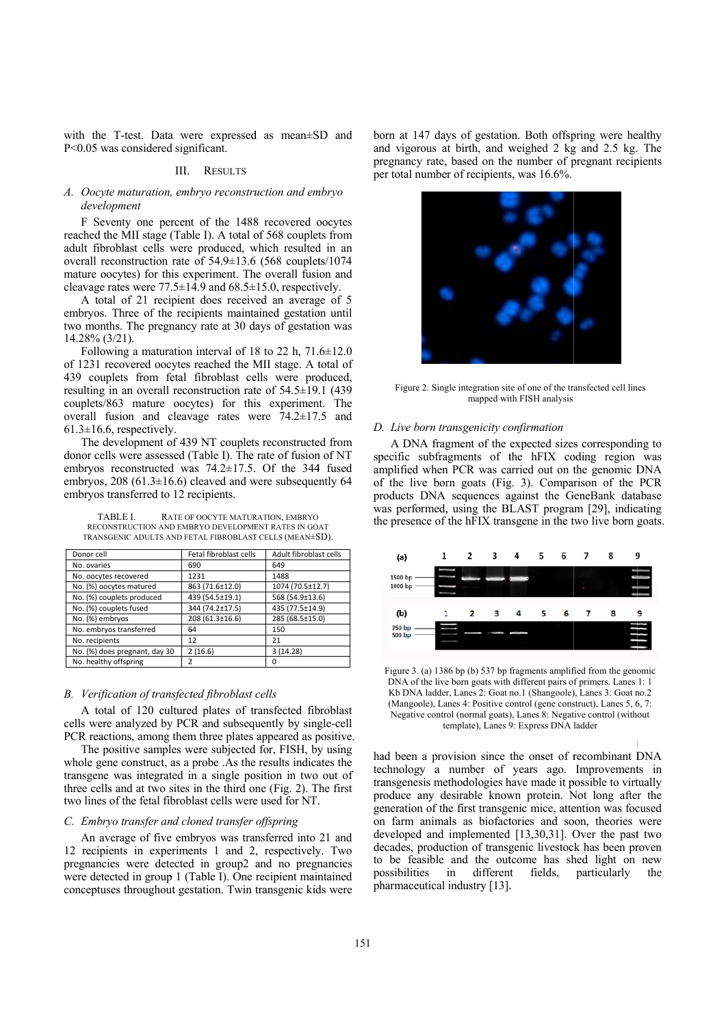with the T-test. Data were expressed as mean±SD and P<0.05 was considered significant.

### III. RESULTS

# A. Oocyte maturation, embryo reconstruction and embryo development

F Seventy one percent of the 1488 recovered oocytes reached the MII stage (Table I). A total of 568 couplets from adult fibroblast cells were produced, which resulted in an overall reconstruction rate of 54.9±13.6 (568 couplets/1074 mature oocytes) for this experiment. The overall fusion and cleavage rates were  $77.5 \pm 14.9$  and  $68.5 \pm 15.0$ , respectively.

A total of 21 recipient does received an average of 5 embryos. Three of the recipients maintained gestation until two months. The pregnancy rate at 30 days of gestation was  $14.28\%$  (3/21).

Following a maturation interval of 18 to 22 h,  $71.6 \pm 12.0$ of 1231 recovered oocytes reached the MII stage. A total of 439 couplets from fetal fibroblast cells were produced, resulting in an overall reconstruction rate of  $54.5 \pm 19.1$  (439 couplets/863 mature oocytes) for this experiment. The overall fusion and cleavage rates were 74.2±17.5 and  $61.3 \pm 16.6$ , respectively.

The development of 439 NT couplets reconstructed from donor cells were assessed (Table I). The rate of fusion of NT embryos reconstructed was  $74.2 \pm 17.5$ . Of the 344 fused embryos, 208 (61.3 $\pm$ 16.6) cleaved and were subsequently 64 embryos transferred to 12 recipients.

**TARLEI** RATE OF OOCYTE MATURATION, EMBRYO RECONSTRUCTION AND EMBRYO DEVELOPMENT RATES IN GOAT TRANSGENIC ADULTS AND FETAL FIBROBLAST CELLS (MEAN±SD).

| Donor cell                    | Fetal fibroblast cells | Adult fibroblast cells |
|-------------------------------|------------------------|------------------------|
| No. ovaries                   | 690                    | 649                    |
| No. oocytes recovered         | 1231                   | 1488                   |
| No. (%) oocytes matured       | 863 (71.6±12.0)        | 1074 (70.5±12.7)       |
| No. (%) couplets produced     | 439 (54.5±19.1)        | 568 (54.9±13.6)        |
| No. (%) couplets fused        | 344 (74.2±17.5)        | 435 (77.5±14.9)        |
| No. (%) embryos               | 208 (61.3±16.6)        | 285 (68.5±15.0)        |
| No. embryos transferred       | 64                     | 150                    |
| No. recipients                | 12                     | 21                     |
| No. (%) does pregnant, day 30 | 2(16.6)                | 3(14.28)               |
| No. healthy offspring         |                        | 0                      |

### B. Verification of transfected fibroblast cells

A total of 120 cultured plates of transfected fibroblast cells were analyzed by PCR and subsequently by single-cell PCR reactions, among them three plates appeared as positive.

The positive samples were subjected for, FISH, by using whole gene construct, as a probe .As the results indicates the transgene was integrated in a single position in two out of three cells and at two sites in the third one (Fig. 2). The first two lines of the fetal fibroblast cells were used for NT.

# C. Embryo transfer and cloned transfer offspring

An average of five embryos was transferred into 21 and 12 recipients in experiments 1 and 2, respectively. Two pregnancies were detected in group2 and no pregnancies were detected in group 1 (Table I). One recipient maintained conceptuses throughout gestation. Twin transgenic kids were

born at 147 days of gestation. Both offspring were healthy and vigorous at birth, and weighed 2 kg and 2.5 kg. The pregnancy rate, based on the number of pregnant recipients per total number of recipients, was 16.6%.



Figure 2. Single integration site of one of the transfected cell lines mapped with FISH analysis

#### D. Live born transgenicity confirmation

A DNA fragment of the expected sizes corresponding to specific subfragments of the hFIX coding region was amplified when PCR was carried out on the genomic DNA of the live born goats (Fig. 3). Comparison of the PCR products DNA sequences against the GeneBank database was performed, using the BLAST program [29], indicating the presence of the hFIX transgene in the two live born goats.



Figure 3. (a) 1386 bp (b) 537 bp fragments amplified from the genomic DNA of the live born goats with different pairs of primers. Lanes 1: 1 Kb DNA ladder, Lanes 2: Goat no.1 (Shangoole), Lanes 3: Goat no.2 (Mangoole), Lanes 4: Positive control (gene construct), Lanes 5, 6, 7: Negative control (normal goats), Lanes 8: Negative control (without template), Lanes 9: Express DNA ladder

had been a provision since the onset of recombinant DNA technology a number of years ago. Improvements in transgenesis methodologies have made it possible to virtually produce any desirable known protein. Not long after the generation of the first transgenic mice, attention was focused on farm animals as biofactories and soon, theories were developed and implemented [13,30,31]. Over the past two decades, production of transgenic livestock has been proven to be feasible and the outcome has shed light on new in different fields, particularly possibilities the pharmaceutical industry [13].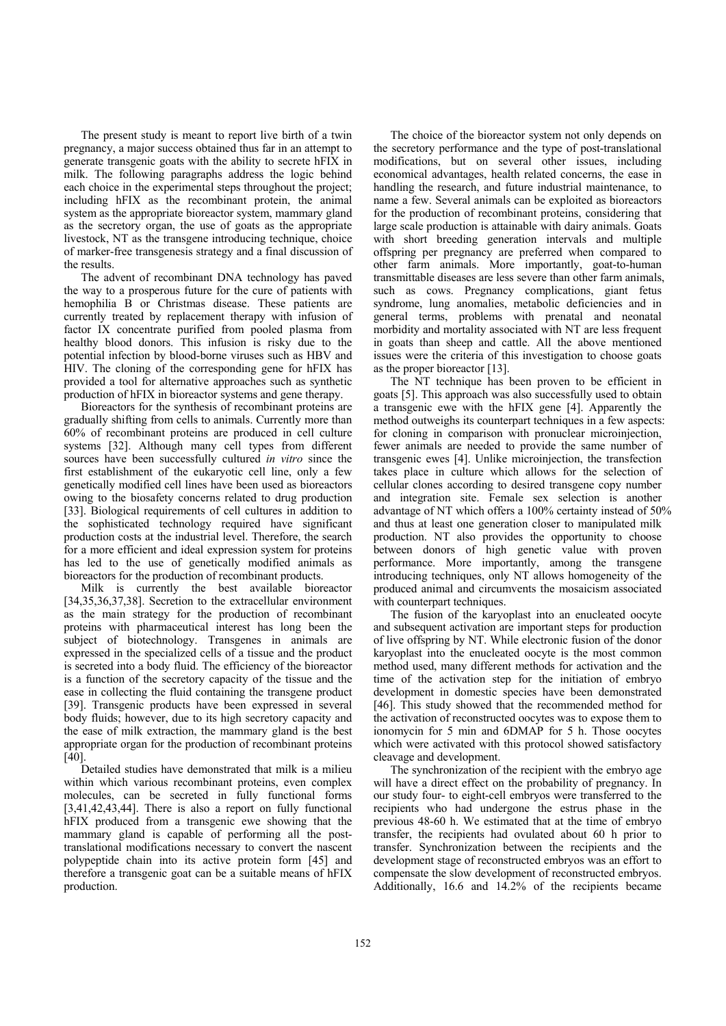The present study is meant to report live birth of a twin pregnancy, a major success obtained thus far in an attempt to generate transgenic goats with the ability to secrete hFIX in milk. The following paragraphs address the logic behind each choice in the experimental steps throughout the project; including hFIX as the recombinant protein, the animal system as the appropriate bioreactor system, mammary gland as the secretory organ, the use of goats as the appropriate livestock, NT as the transgene introducing technique, choice of marker-free transgenesis strategy and a final discussion of the results.

The advent of recombinant DNA technology has paved the way to a prosperous future for the cure of patients with hemophilia B or Christmas disease. These patients are currently treated by replacement therapy with infusion of factor IX concentrate purified from pooled plasma from healthy blood donors. This infusion is risky due to the potential infection by blood-borne viruses such as HBV and HIV. The cloning of the corresponding gene for hFIX has provided a tool for alternative approaches such as synthetic production of hFIX in bioreactor systems and gene therapy.

Bioreactors for the synthesis of recombinant proteins are gradually shifting from cells to animals. Currently more than 60% of recombinant proteins are produced in cell culture systems [32]. Although many cell types from different sources have been successfully cultured *in vitro* since the first establishment of the eukaryotic cell line, only a few genetically modified cell lines have been used as bioreactors owing to the biosafety concerns related to drug production [33]. Biological requirements of cell cultures in addition to the sophisticated technology required have significant production costs at the industrial level. Therefore, the search for a more efficient and ideal expression system for proteins has led to the use of genetically modified animals as bioreactors for the production of recombinant products.

Milk is currently the best available bioreactor [34,35,36,37,38]. Secretion to the extracellular environment as the main strategy for the production of recombinant proteins with pharmaceutical interest has long been the subject of biotechnology. Transgenes in animals are expressed in the specialized cells of a tissue and the product is secreted into a body fluid. The efficiency of the bioreactor is a function of the secretory capacity of the tissue and the ease in collecting the fluid containing the transgene product [39]. Transgenic products have been expressed in several body fluids; however, due to its high secretory capacity and the ease of milk extraction, the mammary gland is the best appropriate organ for the production of recombinant proteins [40].

Detailed studies have demonstrated that milk is a milieu within which various recombinant proteins, even complex molecules, can be secreted in fully functional forms [3,41,42,43,44]. There is also a report on fully functional hFIX produced from a transgenic ewe showing that the mammary gland is capable of performing all the posttranslational modifications necessary to convert the nascent polypeptide chain into its active protein form [45] and therefore a transgenic goat can be a suitable means of hFIX production.

The choice of the bioreactor system not only depends on the secretory performance and the type of post-translational modifications, but on several other issues, including economical advantages, health related concerns, the ease in handling the research, and future industrial maintenance, to name a few. Several animals can be exploited as bioreactors for the production of recombinant proteins, considering that large scale production is attainable with dairy animals. Goats with short breeding generation intervals and multiple offspring per pregnancy are preferred when compared to other farm animals. More importantly, goat-to-human transmittable diseases are less severe than other farm animals, such as cows. Pregnancy complications, giant fetus syndrome, lung anomalies, metabolic deficiencies and in general terms, problems with prenatal and neonatal morbidity and mortality associated with NT are less frequent in goats than sheep and cattle. All the above mentioned issues were the criteria of this investigation to choose goats as the proper bioreactor [13].

The NT technique has been proven to be efficient in goats [5]. This approach was also successfully used to obtain a transgenic ewe with the hFIX gene [4]. Apparently the method outweighs its counterpart techniques in a few aspects: for cloning in comparison with pronuclear microinjection, fewer animals are needed to provide the same number of transgenic ewes [4]. Unlike microinjection, the transfection takes place in culture which allows for the selection of cellular clones according to desired transgene copy number and integration site. Female sex selection is another advantage of NT which offers a 100% certainty instead of 50% and thus at least one generation closer to manipulated milk production. NT also provides the opportunity to choose between donors of high genetic value with proven performance. More importantly, among the transgene introducing techniques, only NT allows homogeneity of the produced animal and circumvents the mosaicism associated with counterpart techniques.

The fusion of the karyoplast into an enucleated oocyte and subsequent activation are important steps for production of live offspring by NT. While electronic fusion of the donor karyoplast into the enucleated oocyte is the most common method used, many different methods for activation and the time of the activation step for the initiation of embryo development in domestic species have been demonstrated [46]. This study showed that the recommended method for the activation of reconstructed oocytes was to expose them to ionomycin for 5 min and 6DMAP for 5 h. Those oocytes which were activated with this protocol showed satisfactory cleavage and development.

The synchronization of the recipient with the embryo age will have a direct effect on the probability of pregnancy. In our study four- to eight-cell embryos were transferred to the recipients who had undergone the estrus phase in the previous 48-60 h. We estimated that at the time of embryo transfer, the recipients had ovulated about 60 h prior to transfer. Synchronization between the recipients and the development stage of reconstructed embryos was an effort to compensate the slow development of reconstructed embryos. Additionally, 16.6 and 14.2% of the recipients became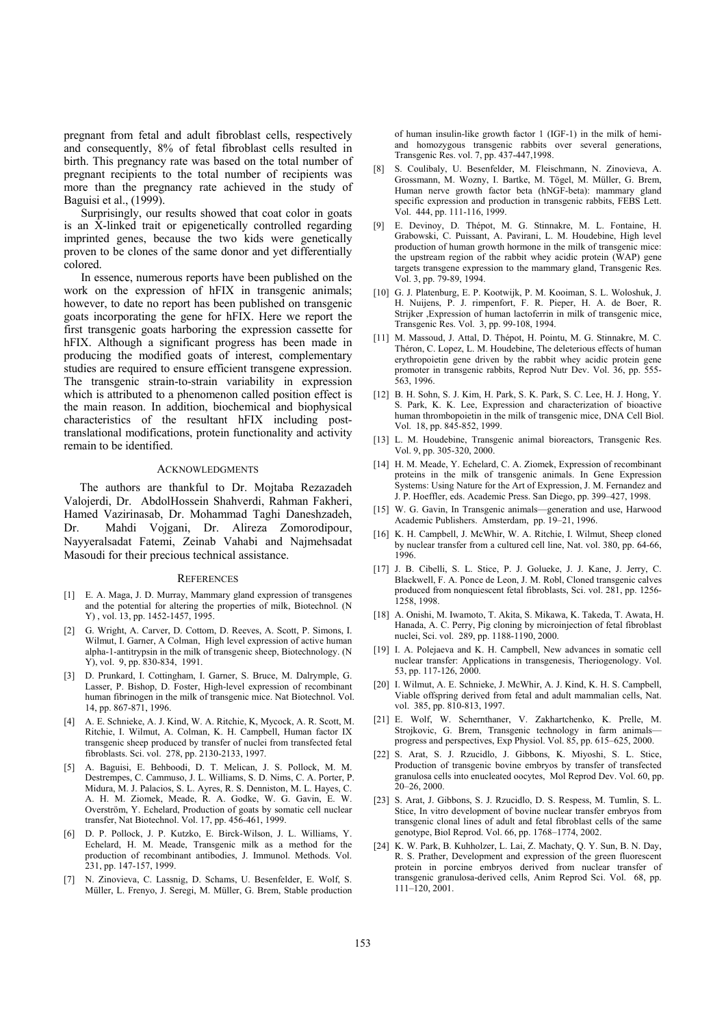pregnant from fetal and adult fibroblast cells, respectively and consequently, 8% of fetal fibroblast cells resulted in birth. This pregnancy rate was based on the total number of pregnant recipients to the total number of recipients was more than the pregnancy rate achieved in the study of Baguisi et al., (1999).

Surprisingly, our results showed that coat color in goats is an X-linked trait or epigenetically controlled regarding imprinted genes, because the two kids were genetically proven to be clones of the same donor and yet differentially colored.

In essence, numerous reports have been published on the work on the expression of hFIX in transgenic animals; however, to date no report has been published on transgenic goats incorporating the gene for hFIX. Here we report the first transgenic goats harboring the expression cassette for hFIX. Although a significant progress has been made in producing the modified goats of interest, complementary studies are required to ensure efficient transgene expression. The transgenic strain-to-strain variability in expression which is attributed to a phenomenon called position effect is the main reason. In addition, biochemical and biophysical characteristics of the resultant hFIX including posttranslational modifications, protein functionality and activity remain to be identified.

#### ACKNOWLEDGMENTS

The authors are thankful to Dr. Mojtaba Rezazadeh Valojerdi, Dr. AbdolHossein Shahverdi, Rahman Fakheri, Hamed Vazirinasab, Dr. Mohammad Taghi Daneshzadeh, Dr. Mahdi Vojgani, Dr. Alireza Zomorodipour, Nayyeralsadat Fatemi, Zeinab Vahabi and Najmehsadat Masoudi for their precious technical assistance.

### **REFERENCES**

- [1] E. A. Maga, J. D. Murray, Mammary gland expression of transgenes and the potential for altering the properties of milk, Biotechnol. (N Y) , vol. 13, pp. 1452-1457, 1995.
- [2] G. Wright, A. Carver, D. Cottom, D. Reeves, A. Scott, P. Simons, I. Wilmut, I. Garner, A Colman, High level expression of active human alpha-1-antitrypsin in the milk of transgenic sheep, Biotechnology. (N Y), vol. 9, pp. 830-834, 1991.
- [3] D. Prunkard, I. Cottingham, I. Garner, S. Bruce, M. Dalrymple, G. Lasser, P. Bishop, D. Foster, High-level expression of recombinant human fibrinogen in the milk of transgenic mice. Nat Biotechnol. Vol. 14, pp. 867-871, 1996.
- [4] A. E. Schnieke, A. J. Kind, W. A. Ritchie, K, Mycock, A. R. Scott, M. Ritchie, I. Wilmut, A. Colman, K. H. Campbell, Human factor IX transgenic sheep produced by transfer of nuclei from transfected fetal fibroblasts. Sci. vol. 278, pp. 2130-2133, 1997.
- [5] A. Baguisi, E. Behboodi, D. T. Melican, J. S. Pollock, M. M. Destrempes, C. Cammuso, J. L. Williams, S. D. Nims, C. A. Porter, P. Midura, M. J. Palacios, S. L. Ayres, R. S. Denniston, M. L. Hayes, C. A. H. M. Ziomek, Meade, R. A. Godke, W. G. Gavin, E. W. Overström, Y. Echelard, Production of goats by somatic cell nuclear transfer, Nat Biotechnol. Vol. 17, pp. 456-461, 1999.
- [6] D. P. Pollock, J. P. Kutzko, E. Birck-Wilson, J. L. Williams, Y. Echelard, H. M. Meade, Transgenic milk as a method for the production of recombinant antibodies, J. Immunol. Methods. Vol. 231, pp. 147-157, 1999.
- [7] N. Zinovieva, C. Lassnig, D. Schams, U. Besenfelder, E. Wolf, S. Müller, L. Frenyo, J. Seregi, M. Müller, G. Brem, Stable production

of human insulin-like growth factor 1 (IGF-1) in the milk of hemiand homozygous transgenic rabbits over several generations, Transgenic Res. vol. 7, pp. 437-447,1998.

- [8] S. Coulibaly, U. Besenfelder, M. Fleischmann, N. Zinovieva, A. Grossmann, M. Wozny, I. Bartke, M. Tögel, M. Müller, G. Brem, Human nerve growth factor beta (hNGF-beta): mammary gland specific expression and production in transgenic rabbits, FEBS Lett. Vol. 444, pp. 111-116, 1999.
- [9] E. Devinoy, D. Thépot, M. G. Stinnakre, M. L. Fontaine, H. Grabowski, C. Puissant, A. Pavirani, L. M. Houdebine, High level production of human growth hormone in the milk of transgenic mice: the upstream region of the rabbit whey acidic protein (WAP) gene targets transgene expression to the mammary gland, Transgenic Res. Vol. 3, pp. 79-89, 1994.
- [10] G. J. Platenburg, E. P. Kootwijk, P. M. Kooiman, S. L. Woloshuk, J. H. Nuijens, P. J. rimpenfort, F. R. Pieper, H. A. de Boer, R. Strijker ,Expression of human lactoferrin in milk of transgenic mice, Transgenic Res. Vol. 3, pp. 99-108, 1994.
- [11] M. Massoud, J. Attal, D. Thépot, H. Pointu, M. G. Stinnakre, M. C. Théron, C. Lopez, L. M. Houdebine, The deleterious effects of human erythropoietin gene driven by the rabbit whey acidic protein gene promoter in transgenic rabbits, Reprod Nutr Dev. Vol. 36, pp. 555- 563, 1996.
- [12] B. H. Sohn, S. J. Kim, H. Park, S. K. Park, S. C. Lee, H. J. Hong, Y. S. Park, K. K. Lee, Expression and characterization of bioactive human thrombopoietin in the milk of transgenic mice, DNA Cell Biol. Vol. 18, pp. 845-852, 1999.
- [13] L. M. Houdebine, Transgenic animal bioreactors, Transgenic Res. Vol. 9, pp. 305-320, 2000.
- [14] H. M. Meade, Y. Echelard, C. A. Ziomek, Expression of recombinant proteins in the milk of transgenic animals. In Gene Expression Systems: Using Nature for the Art of Expression, J. M. Fernandez and J. P. Hoeffler, eds. Academic Press. San Diego, pp. 399–427, 1998.
- [15] W. G. Gavin, In Transgenic animals—generation and use, Harwood Academic Publishers. Amsterdam, pp. 19–21, 1996.
- [16] K. H. Campbell, J. McWhir, W. A. Ritchie, I. Wilmut, Sheep cloned by nuclear transfer from a cultured cell line, Nat. vol. 380, pp. 64-66, 1996.
- [17] J. B. Cibelli, S. L. Stice, P. J. Golueke, J. J. Kane, J. Jerry, C. Blackwell, F. A. Ponce de Leon, J. M. Robl, Cloned transgenic calves produced from nonquiescent fetal fibroblasts, Sci. vol. 281, pp. 1256- 1258, 1998.
- [18] A. Onishi, M. Iwamoto, T. Akita, S. Mikawa, K. Takeda, T. Awata, H. Hanada, A. C. Perry, Pig cloning by microinjection of fetal fibroblast nuclei, Sci. vol. 289, pp. 1188-1190, 2000.
- [19] I. A. Polejaeva and K. H. Campbell, New advances in somatic cell nuclear transfer: Applications in transgenesis, Theriogenology. Vol. 53, pp. 117-126, 2000.
- [20] I. Wilmut, A. E. Schnieke, J. McWhir, A. J. Kind, K. H. S. Campbell, Viable offspring derived from fetal and adult mammalian cells, Nat. vol. 385, pp. 810-813, 1997.
- [21] E. Wolf, W. Schernthaner, V. Zakhartchenko, K. Prelle, M. Strojkovic, G. Brem, Transgenic technology in farm animals progress and perspectives, Exp Physiol. Vol. 85, pp. 615–625, 2000.
- [22] S. Arat, S. J. Rzucidlo, J. Gibbons, K. Miyoshi, S. L. Stice, Production of transgenic bovine embryos by transfer of transfected granulosa cells into enucleated oocytes, Mol Reprod Dev. Vol. 60, pp. 20–26, 2000.
- [23] S. Arat, J. Gibbons, S. J. Rzucidlo, D. S. Respess, M. Tumlin, S. L. Stice, In vitro development of bovine nuclear transfer embryos from transgenic clonal lines of adult and fetal fibroblast cells of the same genotype, Biol Reprod. Vol. 66, pp. 1768–1774, 2002.
- [24] K. W. Park, B. Kuhholzer, L. Lai, Z. Machaty, Q. Y. Sun, B. N. Day, R. S. Prather, Development and expression of the green fluorescent protein in porcine embryos derived from nuclear transfer of transgenic granulosa-derived cells, Anim Reprod Sci. Vol. 68, pp. 111–120, 2001.